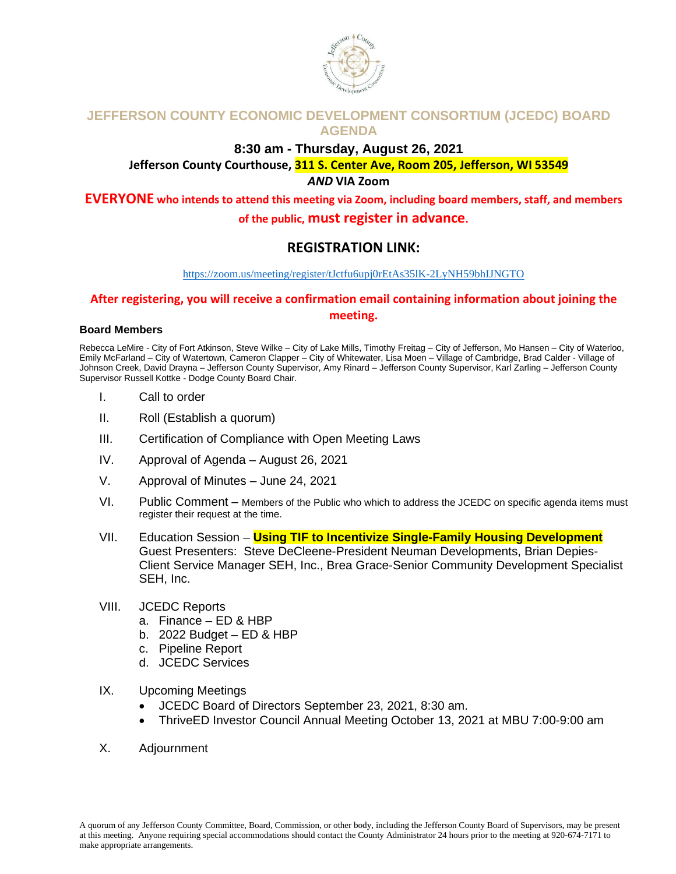

## **JEFFERSON COUNTY ECONOMIC DEVELOPMENT CONSORTIUM (JCEDC) BOARD AGENDA**

## **8:30 am - Thursday, August 26, 2021 Jefferson County Courthouse, 311 S. Center Ave, Room 205, Jefferson, WI 53549** *AND* **VIA Zoom**

**EVERYONE who intends to attend this meeting via Zoom, including board members, staff, and members of the public, must register in advance.** 

## **REGISTRATION LINK:**

## <https://zoom.us/meeting/register/tJctfu6upj0rEtAs35lK-2LyNH59bhIJNGTO>

## **After registering, you will receive a confirmation email containing information about joining the meeting.**

## **Board Members**

Rebecca LeMire - City of Fort Atkinson, Steve Wilke – City of Lake Mills, Timothy Freitag – City of Jefferson, Mo Hansen – City of Waterloo, Emily McFarland – City of Watertown, Cameron Clapper – City of Whitewater, Lisa Moen – Village of Cambridge, Brad Calder - Village of Johnson Creek, David Drayna – Jefferson County Supervisor, Amy Rinard – Jefferson County Supervisor, Karl Zarling – Jefferson County Supervisor Russell Kottke - Dodge County Board Chair.

- I. Call to order
- II. Roll (Establish a quorum)
- III. Certification of Compliance with Open Meeting Laws
- IV. Approval of Agenda August 26, 2021
- V. Approval of Minutes June 24, 2021
- VI. Public Comment Members of the Public who which to address the JCEDC on specific agenda items must register their request at the time.
- VII. Education Session **Using TIF to Incentivize Single-Family Housing Development** Guest Presenters: Steve DeCleene-President Neuman Developments, Brian Depies-Client Service Manager SEH, Inc., Brea Grace-Senior Community Development Specialist SEH, Inc.
- VIII. JCEDC Reports
	- a. Finance ED & HBP
	- b. 2022 Budget ED & HBP
	- c. Pipeline Report
	- d. JCEDC Services
- IX. Upcoming Meetings
	- JCEDC Board of Directors September 23, 2021, 8:30 am.
	- ThriveED Investor Council Annual Meeting October 13, 2021 at MBU 7:00-9:00 am
- X. Adjournment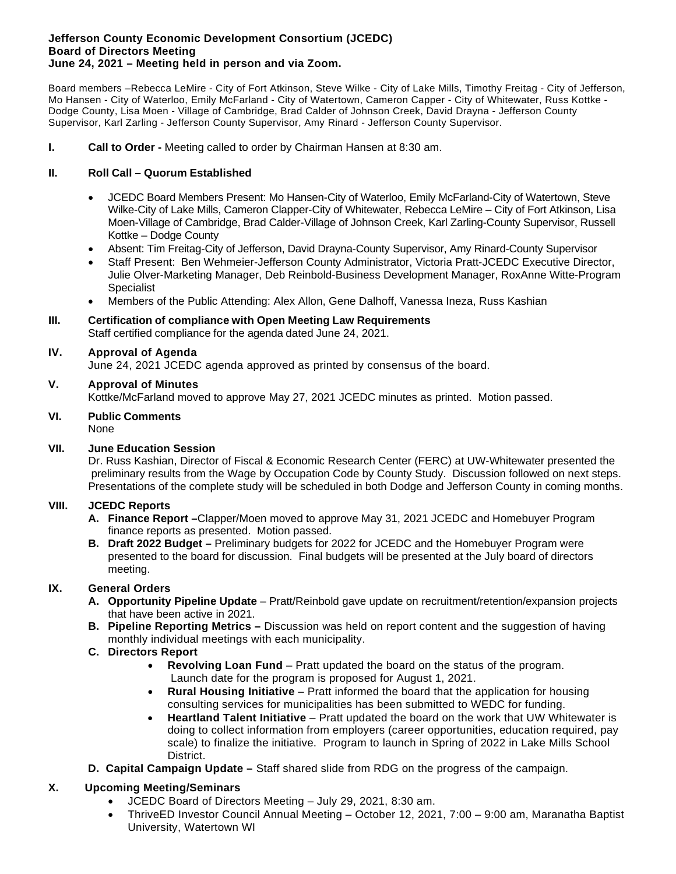## **Jefferson County Economic Development Consortium (JCEDC) Board of Directors Meeting June 24, 2021 – Meeting held in person and via Zoom.**

Board members –Rebecca LeMire - City of Fort Atkinson, Steve Wilke - City of Lake Mills, Timothy Freitag - City of Jefferson, Mo Hansen - City of Waterloo, Emily McFarland - City of Watertown, Cameron Capper - City of Whitewater, Russ Kottke - Dodge County, Lisa Moen - Village of Cambridge, Brad Calder of Johnson Creek, David Drayna - Jefferson County Supervisor, Karl Zarling - Jefferson County Supervisor, Amy Rinard - Jefferson County Supervisor.

**I. Call to Order -** Meeting called to order by Chairman Hansen at 8:30 am.

## **II. Roll Call – Quorum Established**

- JCEDC Board Members Present: Mo Hansen-City of Waterloo, Emily McFarland-City of Watertown, Steve Wilke-City of Lake Mills, Cameron Clapper-City of Whitewater, Rebecca LeMire – City of Fort Atkinson, Lisa Moen-Village of Cambridge, Brad Calder-Village of Johnson Creek, Karl Zarling-County Supervisor, Russell Kottke – Dodge County
- Absent: Tim Freitag-City of Jefferson, David Drayna-County Supervisor, Amy Rinard-County Supervisor
- Staff Present: Ben Wehmeier-Jefferson County Administrator, Victoria Pratt-JCEDC Executive Director, Julie Olver-Marketing Manager, Deb Reinbold-Business Development Manager, RoxAnne Witte-Program **Specialist**
- Members of the Public Attending: Alex Allon, Gene Dalhoff, Vanessa Ineza, Russ Kashian

## **III. Certification of compliance with Open Meeting Law Requirements** Staff certified compliance for the agenda dated June 24, 2021.

## **IV. Approval of Agenda**

June 24, 2021 JCEDC agenda approved as printed by consensus of the board.

## **V. Approval of Minutes**

Kottke/McFarland moved to approve May 27, 2021 JCEDC minutes as printed. Motion passed.

# **VI. Public Comments**

None

## **VII. June Education Session**

Dr. Russ Kashian, Director of Fiscal & Economic Research Center (FERC) at UW-Whitewater presented the preliminary results from the Wage by Occupation Code by County Study. Discussion followed on next steps. Presentations of the complete study will be scheduled in both Dodge and Jefferson County in coming months.

## **VIII. JCEDC Reports**

- **A. Finance Report –**Clapper/Moen moved to approve May 31, 2021 JCEDC and Homebuyer Program finance reports as presented. Motion passed.
- **B. Draft 2022 Budget –** Preliminary budgets for 2022 for JCEDC and the Homebuyer Program were presented to the board for discussion. Final budgets will be presented at the July board of directors meeting.

## **IX. General Orders**

- **A. Opportunity Pipeline Update** Pratt/Reinbold gave update on recruitment/retention/expansion projects that have been active in 2021.
- **B. Pipeline Reporting Metrics –** Discussion was held on report content and the suggestion of having monthly individual meetings with each municipality.
- **C. Directors Report**
	- **Revolving Loan Fund** Pratt updated the board on the status of the program. Launch date for the program is proposed for August 1, 2021.
	- **Rural Housing Initiative**  Pratt informed the board that the application for housing consulting services for municipalities has been submitted to WEDC for funding.
	- **Heartland Talent Initiative** Pratt updated the board on the work that UW Whitewater is doing to collect information from employers (career opportunities, education required, pay scale) to finalize the initiative. Program to launch in Spring of 2022 in Lake Mills School District.
- **D. Capital Campaign Update –** Staff shared slide from RDG on the progress of the campaign.

## **X. Upcoming Meeting/Seminars**

- JCEDC Board of Directors Meeting July 29, 2021, 8:30 am.
- ThriveED Investor Council Annual Meeting October 12, 2021, 7:00 9:00 am, Maranatha Baptist University, Watertown WI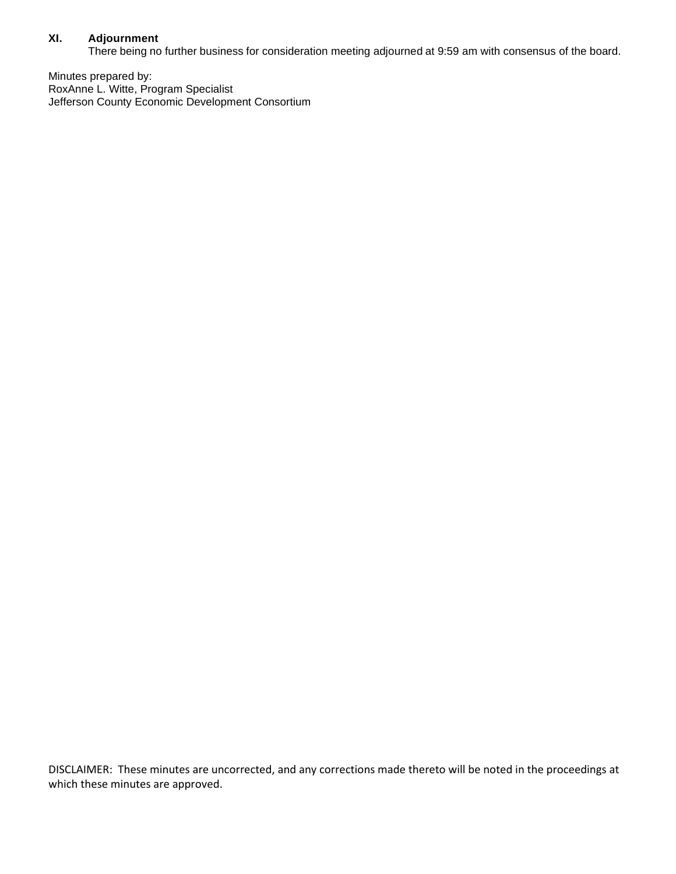## **XI. Adjournment**

There being no further business for consideration meeting adjourned at 9:59 am with consensus of the board.

Minutes prepared by: RoxAnne L. Witte, Program Specialist Jefferson County Economic Development Consortium

DISCLAIMER: These minutes are uncorrected, and any corrections made thereto will be noted in the proceedings at which these minutes are approved.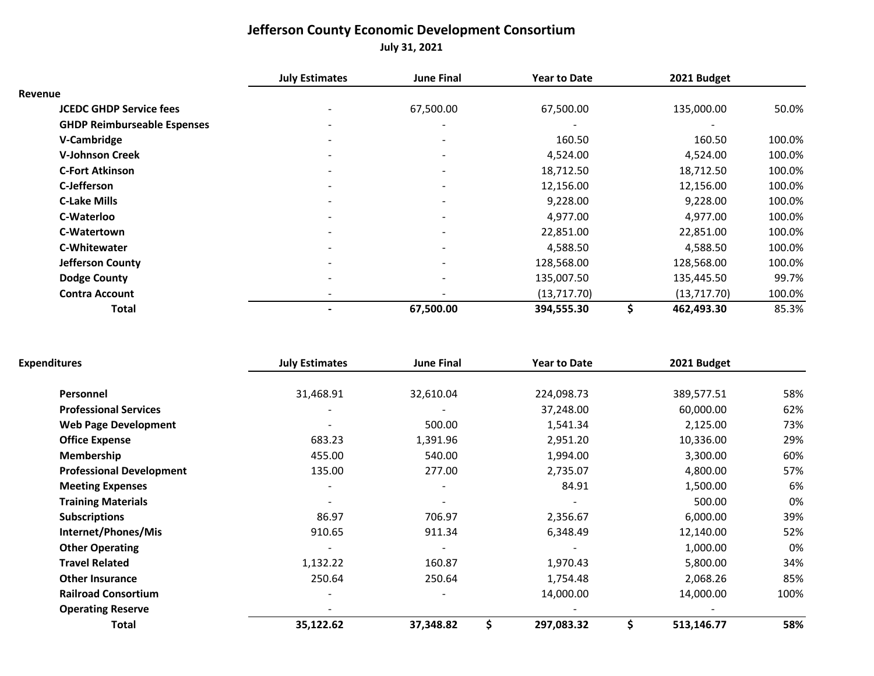# **Jefferson County Economic Development Consortium**

**July 31, 2021**

|                                    | <b>July Estimates</b>    | <b>June Final</b>        | <b>Year to Date</b> | 2021 Budget |        |
|------------------------------------|--------------------------|--------------------------|---------------------|-------------|--------|
| Revenue                            |                          |                          |                     |             |        |
| <b>JCEDC GHDP Service fees</b>     |                          | 67,500.00                | 67,500.00           | 135,000.00  | 50.0%  |
| <b>GHDP Reimburseable Espenses</b> |                          | $\overline{\phantom{a}}$ |                     |             |        |
| V-Cambridge                        |                          | $\overline{\phantom{a}}$ | 160.50              | 160.50      | 100.0% |
| <b>V-Johnson Creek</b>             |                          | $\overline{\phantom{a}}$ | 4,524.00            | 4,524.00    | 100.0% |
| <b>C-Fort Atkinson</b>             | $\overline{\phantom{0}}$ | $\overline{\phantom{a}}$ | 18,712.50           | 18,712.50   | 100.0% |
| C-Jefferson                        |                          |                          | 12,156.00           | 12,156.00   | 100.0% |
| <b>C-Lake Mills</b>                |                          | $\overline{\phantom{a}}$ | 9,228.00            | 9,228.00    | 100.0% |
| C-Waterloo                         |                          | $\overline{\phantom{a}}$ | 4,977.00            | 4,977.00    | 100.0% |
| C-Watertown                        |                          | $\overline{\phantom{a}}$ | 22,851.00           | 22,851.00   | 100.0% |
| <b>C-Whitewater</b>                |                          | $\overline{\phantom{a}}$ | 4,588.50            | 4,588.50    | 100.0% |
| Jefferson County                   |                          | $\overline{\phantom{a}}$ | 128,568.00          | 128,568.00  | 100.0% |
| <b>Dodge County</b>                |                          | $\overline{\phantom{a}}$ | 135,007.50          | 135,445.50  | 99.7%  |
| <b>Contra Account</b>              |                          |                          | (13,717.70)         | (13,717.70) | 100.0% |
| Total                              |                          | 67,500.00                | 394,555.30          | 462,493.30  | 85.3%  |

| <b>Expenditures</b>             | <b>July Estimates</b> | <b>June Final</b> | <b>Year to Date</b> | 2021 Budget     |      |
|---------------------------------|-----------------------|-------------------|---------------------|-----------------|------|
| <b>Personnel</b>                | 31,468.91             | 32,610.04         | 224,098.73          | 389,577.51      | 58%  |
| <b>Professional Services</b>    |                       |                   | 37,248.00           | 60,000.00       | 62%  |
| <b>Web Page Development</b>     |                       | 500.00            | 1,541.34            | 2,125.00        | 73%  |
| <b>Office Expense</b>           | 683.23                | 1,391.96          | 2,951.20            | 10,336.00       | 29%  |
| Membership                      | 455.00                | 540.00            | 1,994.00            | 3,300.00        | 60%  |
| <b>Professional Development</b> | 135.00                | 277.00            | 2,735.07            | 4,800.00        | 57%  |
| <b>Meeting Expenses</b>         |                       |                   | 84.91               | 1,500.00        | 6%   |
| <b>Training Materials</b>       |                       |                   |                     | 500.00          | 0%   |
| <b>Subscriptions</b>            | 86.97                 | 706.97            | 2,356.67            | 6,000.00        | 39%  |
| Internet/Phones/Mis             | 910.65                | 911.34            | 6,348.49            | 12,140.00       | 52%  |
| <b>Other Operating</b>          |                       |                   |                     | 1,000.00        | 0%   |
| <b>Travel Related</b>           | 1,132.22              | 160.87            | 1,970.43            | 5,800.00        | 34%  |
| <b>Other Insurance</b>          | 250.64                | 250.64            | 1,754.48            | 2,068.26        | 85%  |
| <b>Railroad Consortium</b>      |                       |                   | 14,000.00           | 14,000.00       | 100% |
| <b>Operating Reserve</b>        |                       |                   |                     |                 |      |
| Total                           | 35,122.62             | 37,348.82         | \$<br>297,083.32    | 513,146.77<br>S | 58%  |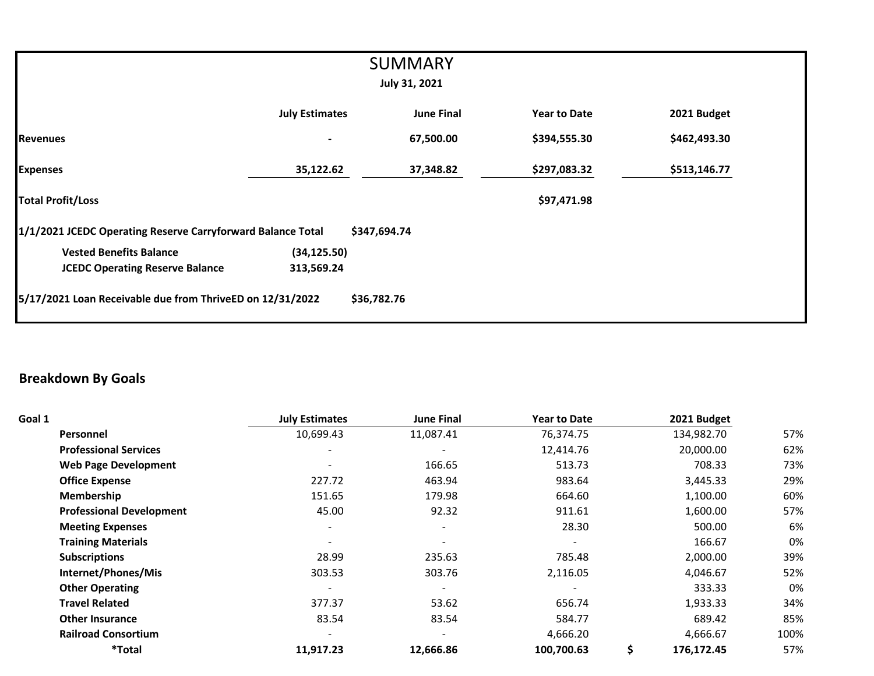|                                                                          |                            | <b>SUMMARY</b><br>July 31, 2021 |                     |              |
|--------------------------------------------------------------------------|----------------------------|---------------------------------|---------------------|--------------|
|                                                                          | <b>July Estimates</b>      | <b>June Final</b>               | <b>Year to Date</b> | 2021 Budget  |
| <b>Revenues</b>                                                          |                            | 67,500.00                       | \$394,555.30        | \$462,493.30 |
| <b>Expenses</b>                                                          | 35,122.62                  | 37,348.82                       | \$297,083.32        | \$513,146.77 |
| <b>Total Profit/Loss</b>                                                 |                            |                                 | \$97,471.98         |              |
| 1/1/2021 JCEDC Operating Reserve Carryforward Balance Total              |                            | \$347,694.74                    |                     |              |
| <b>Vested Benefits Balance</b><br><b>JCEDC Operating Reserve Balance</b> | (34, 125.50)<br>313,569.24 |                                 |                     |              |
| 5/17/2021 Loan Receivable due from ThriveED on 12/31/2022                |                            | \$36,782.76                     |                     |              |

# **Breakdown By Goals**

| Goal 1                          | <b>July Estimates</b>    | <b>June Final</b>        | <b>Year to Date</b> | 2021 Budget      |      |
|---------------------------------|--------------------------|--------------------------|---------------------|------------------|------|
| <b>Personnel</b>                | 10,699.43                | 11,087.41                | 76,374.75           | 134,982.70       | 57%  |
| <b>Professional Services</b>    | $\overline{\phantom{a}}$ | $\overline{\phantom{a}}$ | 12,414.76           | 20,000.00        | 62%  |
| <b>Web Page Development</b>     | $\overline{\phantom{a}}$ | 166.65                   | 513.73              | 708.33           | 73%  |
| <b>Office Expense</b>           | 227.72                   | 463.94                   | 983.64              | 3,445.33         | 29%  |
| Membership                      | 151.65                   | 179.98                   | 664.60              | 1,100.00         | 60%  |
| <b>Professional Development</b> | 45.00                    | 92.32                    | 911.61              | 1,600.00         | 57%  |
| <b>Meeting Expenses</b>         | $\overline{\phantom{a}}$ | $\overline{\phantom{a}}$ | 28.30               | 500.00           | 6%   |
| <b>Training Materials</b>       | $\overline{\phantom{a}}$ |                          |                     | 166.67           | 0%   |
| <b>Subscriptions</b>            | 28.99                    | 235.63                   | 785.48              | 2,000.00         | 39%  |
| Internet/Phones/Mis             | 303.53                   | 303.76                   | 2,116.05            | 4,046.67         | 52%  |
| <b>Other Operating</b>          |                          | $\overline{\phantom{a}}$ |                     | 333.33           | 0%   |
| <b>Travel Related</b>           | 377.37                   | 53.62                    | 656.74              | 1,933.33         | 34%  |
| <b>Other Insurance</b>          | 83.54                    | 83.54                    | 584.77              | 689.42           | 85%  |
| <b>Railroad Consortium</b>      | $\overline{\phantom{a}}$ |                          | 4,666.20            | 4,666.67         | 100% |
| *Total                          | 11,917.23                | 12,666.86                | 100,700.63          | \$<br>176,172.45 | 57%  |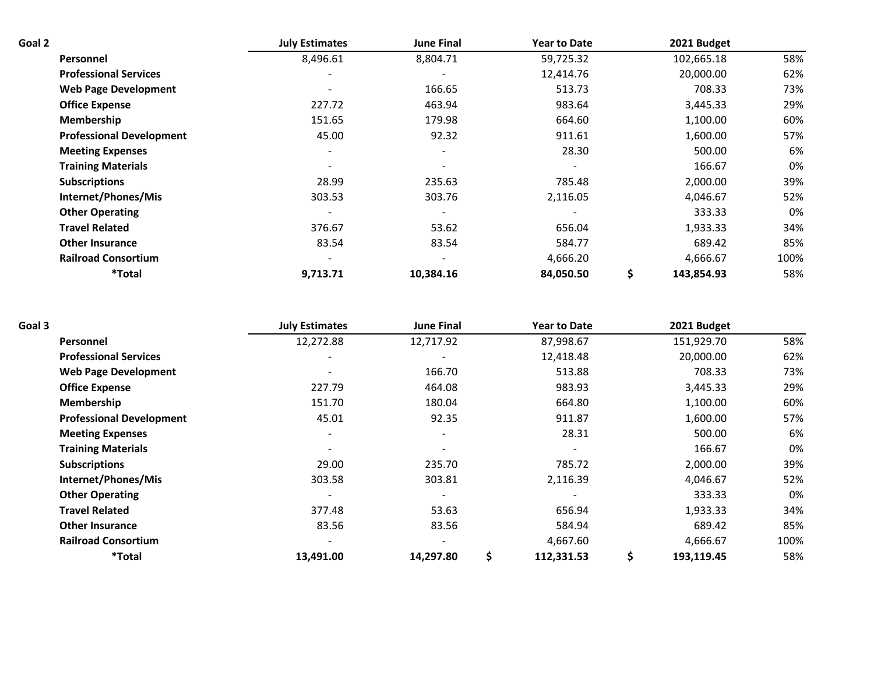| Goal 2                          | <b>July Estimates</b>    | <b>June Final</b> | <b>Year to Date</b> | 2021 Budget      |      |
|---------------------------------|--------------------------|-------------------|---------------------|------------------|------|
| <b>Personnel</b>                | 8,496.61                 | 8,804.71          | 59,725.32           | 102,665.18       | 58%  |
| <b>Professional Services</b>    |                          |                   | 12,414.76           | 20,000.00        | 62%  |
| <b>Web Page Development</b>     | $\overline{\phantom{a}}$ | 166.65            | 513.73              | 708.33           | 73%  |
| <b>Office Expense</b>           | 227.72                   | 463.94            | 983.64              | 3,445.33         | 29%  |
| Membership                      | 151.65                   | 179.98            | 664.60              | 1,100.00         | 60%  |
| <b>Professional Development</b> | 45.00                    | 92.32             | 911.61              | 1,600.00         | 57%  |
| <b>Meeting Expenses</b>         |                          |                   | 28.30               | 500.00           | 6%   |
| <b>Training Materials</b>       |                          |                   |                     | 166.67           | 0%   |
| <b>Subscriptions</b>            | 28.99                    | 235.63            | 785.48              | 2,000.00         | 39%  |
| Internet/Phones/Mis             | 303.53                   | 303.76            | 2,116.05            | 4,046.67         | 52%  |
| <b>Other Operating</b>          |                          |                   |                     | 333.33           | 0%   |
| <b>Travel Related</b>           | 376.67                   | 53.62             | 656.04              | 1,933.33         | 34%  |
| <b>Other Insurance</b>          | 83.54                    | 83.54             | 584.77              | 689.42           | 85%  |
| <b>Railroad Consortium</b>      |                          |                   | 4,666.20            | 4,666.67         | 100% |
| *Total                          | 9,713.71                 | 10,384.16         | 84,050.50           | \$<br>143,854.93 | 58%  |

| Goal 3                          | <b>July Estimates</b>    | <b>June Final</b>        | <b>Year to Date</b> | 2021 Budget      |      |
|---------------------------------|--------------------------|--------------------------|---------------------|------------------|------|
| <b>Personnel</b>                | 12,272.88                | 12,717.92                | 87,998.67           | 151,929.70       | 58%  |
| <b>Professional Services</b>    |                          |                          | 12,418.48           | 20,000.00        | 62%  |
| <b>Web Page Development</b>     | $\overline{\phantom{a}}$ | 166.70                   | 513.88              | 708.33           | 73%  |
| <b>Office Expense</b>           | 227.79                   | 464.08                   | 983.93              | 3,445.33         | 29%  |
| Membership                      | 151.70                   | 180.04                   | 664.80              | 1,100.00         | 60%  |
| <b>Professional Development</b> | 45.01                    | 92.35                    | 911.87              | 1,600.00         | 57%  |
| <b>Meeting Expenses</b>         |                          | $\overline{\phantom{a}}$ | 28.31               | 500.00           | 6%   |
| <b>Training Materials</b>       |                          |                          |                     | 166.67           | 0%   |
| <b>Subscriptions</b>            | 29.00                    | 235.70                   | 785.72              | 2,000.00         | 39%  |
| Internet/Phones/Mis             | 303.58                   | 303.81                   | 2,116.39            | 4,046.67         | 52%  |
| <b>Other Operating</b>          |                          |                          |                     | 333.33           | 0%   |
| <b>Travel Related</b>           | 377.48                   | 53.63                    | 656.94              | 1,933.33         | 34%  |
| <b>Other Insurance</b>          | 83.56                    | 83.56                    | 584.94              | 689.42           | 85%  |
| <b>Railroad Consortium</b>      |                          |                          | 4,667.60            | 4,666.67         | 100% |
| <i><b>*Total</b></i>            | 13,491.00                | 14,297.80                | \$<br>112,331.53    | \$<br>193,119.45 | 58%  |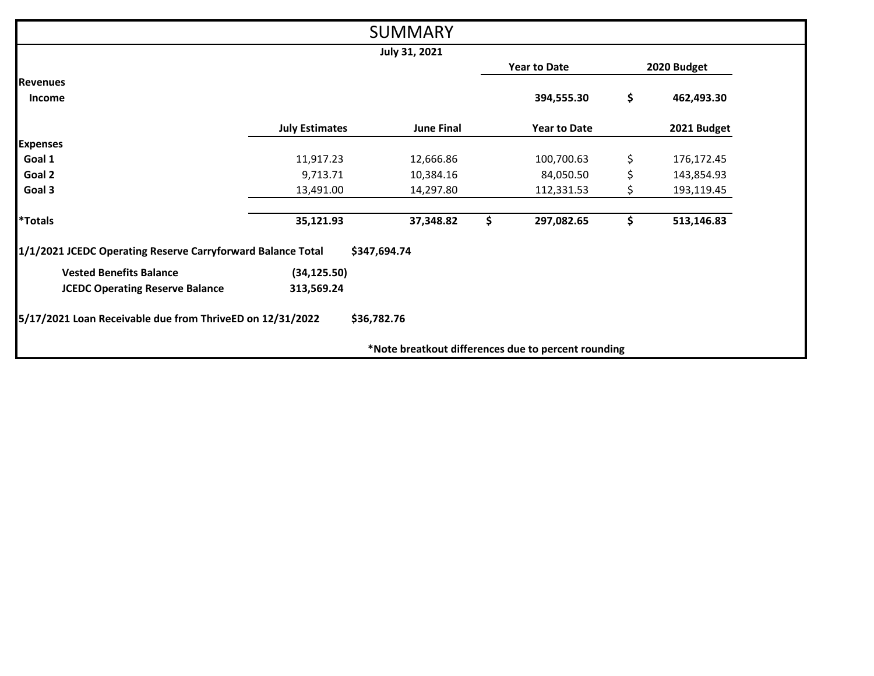|                                                             |                       | <b>SUMMARY</b>                                      |                     |                     |                  |
|-------------------------------------------------------------|-----------------------|-----------------------------------------------------|---------------------|---------------------|------------------|
|                                                             |                       | July 31, 2021                                       |                     |                     |                  |
|                                                             |                       |                                                     | <b>Year to Date</b> |                     | 2020 Budget      |
| <b>Revenues</b>                                             |                       |                                                     |                     |                     |                  |
| Income                                                      |                       |                                                     |                     | 394,555.30          | \$<br>462,493.30 |
|                                                             | <b>July Estimates</b> | <b>June Final</b>                                   |                     | <b>Year to Date</b> | 2021 Budget      |
| <b>Expenses</b>                                             |                       |                                                     |                     |                     |                  |
| Goal 1                                                      | 11,917.23             | 12,666.86                                           |                     | 100,700.63          | \$<br>176,172.45 |
| Goal 2                                                      | 9,713.71              | 10,384.16                                           |                     | 84,050.50           | \$<br>143,854.93 |
| Goal 3                                                      | 13,491.00             | 14,297.80                                           |                     | 112,331.53          | \$<br>193,119.45 |
| *Totals                                                     | 35,121.93             | 37,348.82                                           | \$                  | 297,082.65          | \$<br>513,146.83 |
| 1/1/2021 JCEDC Operating Reserve Carryforward Balance Total |                       | \$347,694.74                                        |                     |                     |                  |
| <b>Vested Benefits Balance</b>                              | (34, 125.50)          |                                                     |                     |                     |                  |
| <b>JCEDC Operating Reserve Balance</b>                      | 313,569.24            |                                                     |                     |                     |                  |
| 5/17/2021 Loan Receivable due from ThriveED on 12/31/2022   |                       | \$36,782.76                                         |                     |                     |                  |
|                                                             |                       | *Note breatkout differences due to percent rounding |                     |                     |                  |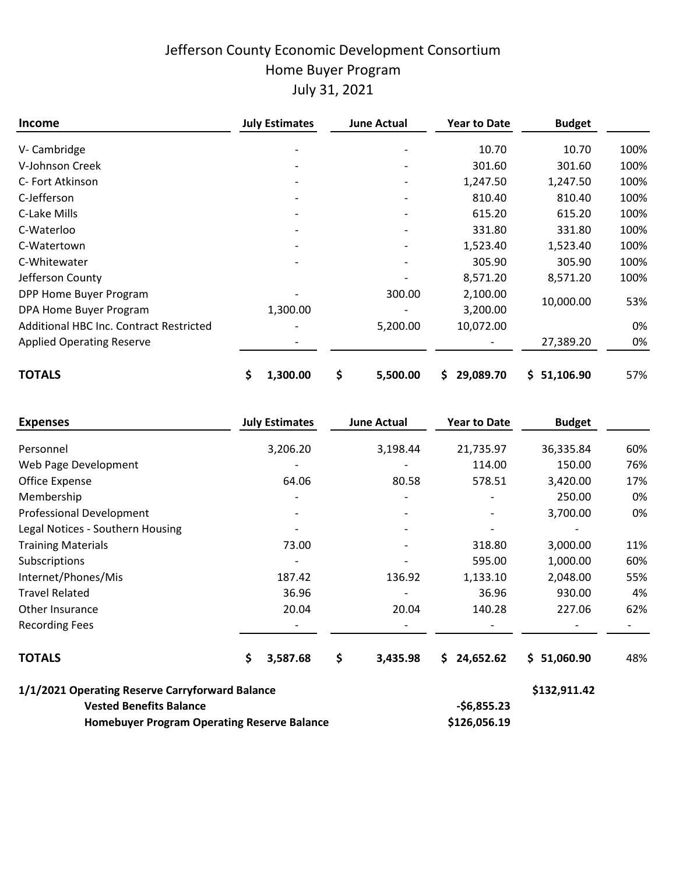# Jefferson County Economic Development Consortium Home Buyer Program July 31, 2021

| <b>Income</b>                           | <b>July Estimates</b> | <b>June Actual</b> |    | <b>Year to Date</b> |    | <b>Budget</b> |      |
|-----------------------------------------|-----------------------|--------------------|----|---------------------|----|---------------|------|
| V-Cambridge                             |                       |                    |    | 10.70               |    | 10.70         | 100% |
| V-Johnson Creek                         |                       |                    |    | 301.60              |    | 301.60        | 100% |
| C- Fort Atkinson                        |                       |                    |    | 1,247.50            |    | 1,247.50      | 100% |
| C-Jefferson                             |                       |                    |    | 810.40              |    | 810.40        | 100% |
| C-Lake Mills                            |                       |                    |    | 615.20              |    | 615.20        | 100% |
| C-Waterloo                              |                       |                    |    | 331.80              |    | 331.80        | 100% |
| C-Watertown                             |                       |                    |    | 1,523.40            |    | 1,523.40      | 100% |
| C-Whitewater                            |                       |                    |    | 305.90              |    | 305.90        | 100% |
| Jefferson County                        |                       |                    |    | 8,571.20            |    | 8,571.20      | 100% |
| DPP Home Buyer Program                  |                       | 300.00             |    | 2,100.00            |    |               |      |
| DPA Home Buyer Program                  | 1,300.00              |                    |    | 3,200.00            |    | 10,000.00     | 53%  |
| Additional HBC Inc. Contract Restricted |                       | 5,200.00           |    | 10,072.00           |    |               | 0%   |
| <b>Applied Operating Reserve</b>        |                       |                    |    |                     |    | 27,389.20     | 0%   |
| <b>TOTALS</b>                           | \$<br>1,300.00        | \$<br>5,500.00     | S. | 29,089.70           | S. | 51,106.90     | 57%  |

| <b>Expenses</b>                                    | <b>July Estimates</b> | <b>June Actual</b> | <b>Year to Date</b> | <b>Budget</b> |     |
|----------------------------------------------------|-----------------------|--------------------|---------------------|---------------|-----|
| Personnel                                          | 3,206.20              | 3,198.44           | 21,735.97           | 36,335.84     | 60% |
| Web Page Development                               |                       |                    | 114.00              | 150.00        | 76% |
| Office Expense                                     | 64.06                 | 80.58              | 578.51              | 3,420.00      | 17% |
| Membership                                         |                       |                    |                     | 250.00        | 0%  |
| Professional Development                           |                       |                    |                     | 3,700.00      | 0%  |
| Legal Notices - Southern Housing                   |                       |                    |                     |               |     |
| <b>Training Materials</b>                          | 73.00                 |                    | 318.80              | 3,000.00      | 11% |
| Subscriptions                                      |                       |                    | 595.00              | 1,000.00      | 60% |
| Internet/Phones/Mis                                | 187.42                | 136.92             | 1,133.10            | 2,048.00      | 55% |
| <b>Travel Related</b>                              | 36.96                 |                    | 36.96               | 930.00        | 4%  |
| Other Insurance                                    | 20.04                 | 20.04              | 140.28              | 227.06        | 62% |
| <b>Recording Fees</b>                              |                       |                    |                     |               |     |
| <b>TOTALS</b>                                      | \$<br>3,587.68        | \$<br>3,435.98     | \$24,652.62         | \$1,060.90    | 48% |
| 1/1/2021 Operating Reserve Carryforward Balance    |                       |                    |                     | \$132,911.42  |     |
| <b>Vested Benefits Balance</b>                     |                       |                    | $-56,855.23$        |               |     |
| <b>Homebuyer Program Operating Reserve Balance</b> |                       |                    | \$126,056.19        |               |     |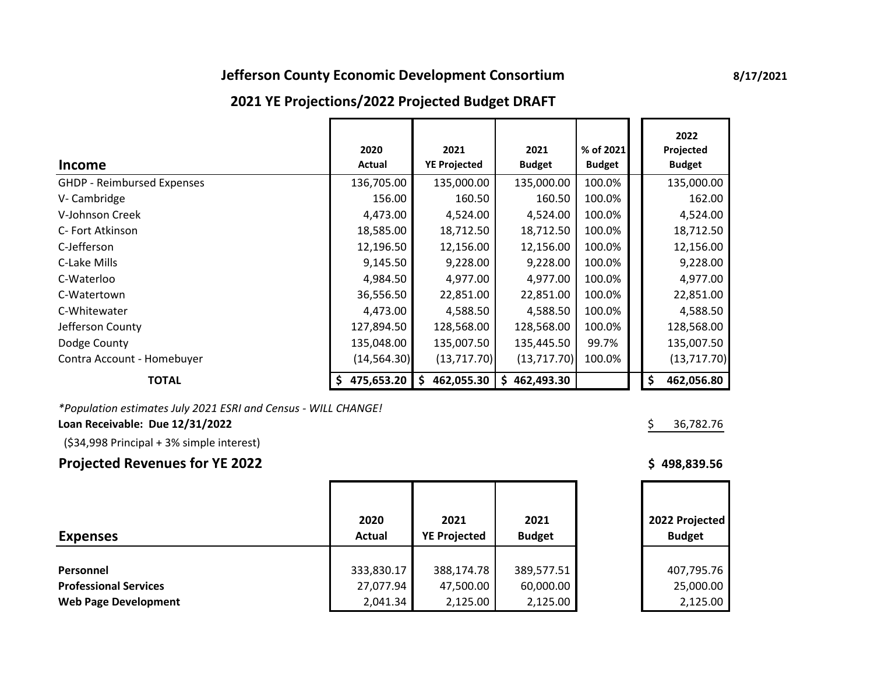# **Jefferson County Economic Development Consortium**

# **2021 YE Projections/2022 Projected Budget DRAFT**

| <b>Income</b>              | 2020<br>Actual   | 2021<br><b>YE Projected</b> | 2021<br><b>Budget</b> | % of 2021<br><b>Budget</b> | 2022<br>Projected<br><b>Budget</b> |
|----------------------------|------------------|-----------------------------|-----------------------|----------------------------|------------------------------------|
| GHDP - Reimbursed Expenses | 136,705.00       | 135,000.00                  | 135,000.00            | 100.0%                     | 135,000.00                         |
| V- Cambridge               | 156.00           | 160.50                      | 160.50                | 100.0%                     | 162.00                             |
| V-Johnson Creek            | 4,473.00         | 4,524.00                    | 4,524.00              | 100.0%                     | 4,524.00                           |
| C- Fort Atkinson           | 18,585.00        | 18,712.50                   | 18,712.50             | 100.0%                     | 18,712.50                          |
| C-Jefferson                | 12,196.50        | 12,156.00                   | 12,156.00             | 100.0%                     | 12,156.00                          |
| C-Lake Mills               | 9,145.50         | 9,228.00                    | 9,228.00              | 100.0%                     | 9,228.00                           |
| C-Waterloo                 | 4,984.50         | 4,977.00                    | 4,977.00              | 100.0%                     | 4,977.00                           |
| C-Watertown                | 36,556.50        | 22,851.00                   | 22,851.00             | 100.0%                     | 22,851.00                          |
| C-Whitewater               | 4,473.00         | 4,588.50                    | 4,588.50              | 100.0%                     | 4,588.50                           |
| Jefferson County           | 127,894.50       | 128,568.00                  | 128,568.00            | 100.0%                     | 128,568.00                         |
| Dodge County               | 135,048.00       | 135,007.50                  | 135,445.50            | 99.7%                      | 135,007.50                         |
| Contra Account - Homebuyer | (14, 564.30)     | (13,717.70)                 | (13,717.70)           | 100.0%                     | (13, 717.70)                       |
| <b>TOTAL</b>               | 475,653.20<br>S. | 462,055.30<br>\$.           | \$462,493.30          |                            | \$<br>462,056.80                   |

*\*Population estimates July 2021 ESRI and Census - WILL CHANGE!*

## **Loan Receivable: Due 12/31/2022 \$** 36,782.76

(\$34,998 Principal + 3% simple interest)

## **Projected Revenues for YE 2022 \$ 498,839.56**

| <b>Expenses</b>                           | 2020<br><b>Actual</b>   | 2021<br><b>YE Projected</b> | 2021<br><b>Budget</b>   | 2022 Projected<br><b>Budget</b> |
|-------------------------------------------|-------------------------|-----------------------------|-------------------------|---------------------------------|
| Personnel<br><b>Professional Services</b> | 333,830.17<br>27,077.94 | 388,174.78<br>47,500.00     | 389,577.51<br>60,000.00 | 407,795.76<br>25,000.00         |
| <b>Web Page Development</b>               | 2,041.34                | 2,125.00                    | 2,125.00                | 2,125.00                        |

| 2022 Projected<br><b>Budget</b> |
|---------------------------------|
| 407,795.76<br>25,000.00         |
| 2,125.00                        |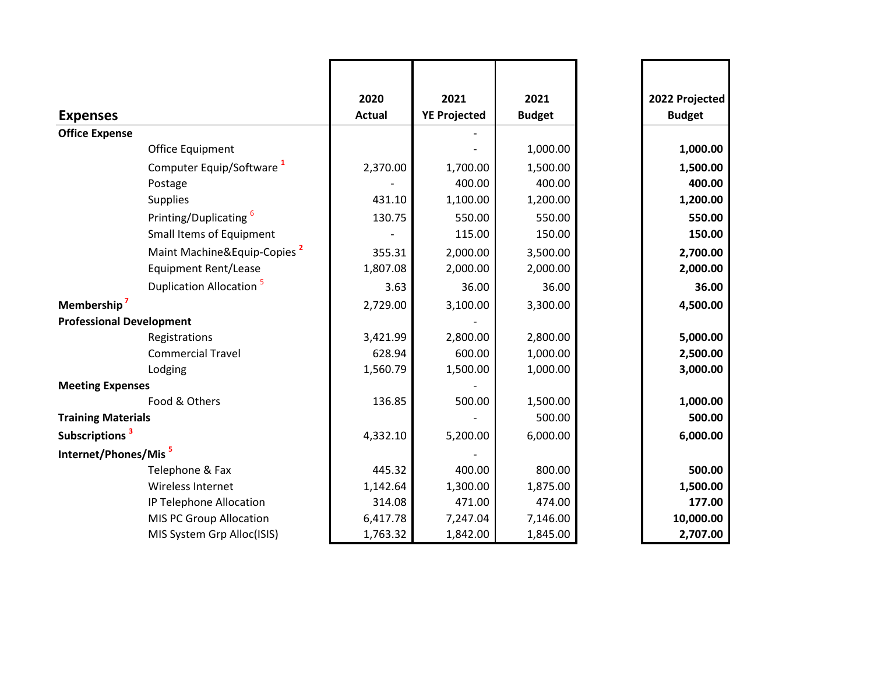|                                  |                                         | 2020          | 2021                | 2021          | 2022 Projected |
|----------------------------------|-----------------------------------------|---------------|---------------------|---------------|----------------|
| <b>Expenses</b>                  |                                         | <b>Actual</b> | <b>YE Projected</b> | <b>Budget</b> | <b>Budget</b>  |
| <b>Office Expense</b>            |                                         |               |                     |               |                |
|                                  | Office Equipment                        |               |                     | 1,000.00      | 1,000.00       |
|                                  | Computer Equip/Software <sup>1</sup>    | 2,370.00      | 1,700.00            | 1,500.00      | 1,500.00       |
|                                  | Postage                                 |               | 400.00              | 400.00        | 400.00         |
|                                  | <b>Supplies</b>                         | 431.10        | 1,100.00            | 1,200.00      | 1,200.00       |
|                                  | Printing/Duplicating <sup>6</sup>       | 130.75        | 550.00              | 550.00        | 550.00         |
|                                  | Small Items of Equipment                |               | 115.00              | 150.00        | 150.00         |
|                                  | Maint Machine&Equip-Copies <sup>2</sup> | 355.31        | 2,000.00            | 3,500.00      | 2,700.00       |
|                                  | <b>Equipment Rent/Lease</b>             | 1,807.08      | 2,000.00            | 2,000.00      | 2,000.00       |
|                                  | Duplication Allocation <sup>5</sup>     | 3.63          | 36.00               | 36.00         | 36.00          |
| Membership <sup>7</sup>          |                                         | 2,729.00      | 3,100.00            | 3,300.00      | 4,500.00       |
| <b>Professional Development</b>  |                                         |               |                     |               |                |
|                                  | Registrations                           | 3,421.99      | 2,800.00            | 2,800.00      | 5,000.00       |
|                                  | <b>Commercial Travel</b>                | 628.94        | 600.00              | 1,000.00      | 2,500.00       |
|                                  | Lodging                                 | 1,560.79      | 1,500.00            | 1,000.00      | 3,000.00       |
| <b>Meeting Expenses</b>          |                                         |               |                     |               |                |
|                                  | Food & Others                           | 136.85        | 500.00              | 1,500.00      | 1,000.00       |
| <b>Training Materials</b>        |                                         |               |                     | 500.00        | 500.00         |
| Subscriptions <sup>3</sup>       |                                         | 4,332.10      | 5,200.00            | 6,000.00      | 6,000.00       |
| Internet/Phones/Mis <sup>5</sup> |                                         |               |                     |               |                |
|                                  | Telephone & Fax                         | 445.32        | 400.00              | 800.00        | 500.00         |
|                                  | Wireless Internet                       | 1,142.64      | 1,300.00            | 1,875.00      | 1,500.00       |
|                                  | IP Telephone Allocation                 | 314.08        | 471.00              | 474.00        | 177.00         |
|                                  | <b>MIS PC Group Allocation</b>          | 6,417.78      | 7,247.04            | 7,146.00      | 10,000.00      |
|                                  | MIS System Grp Alloc(ISIS)              | 1,763.32      | 1,842.00            | 1,845.00      | 2,707.00       |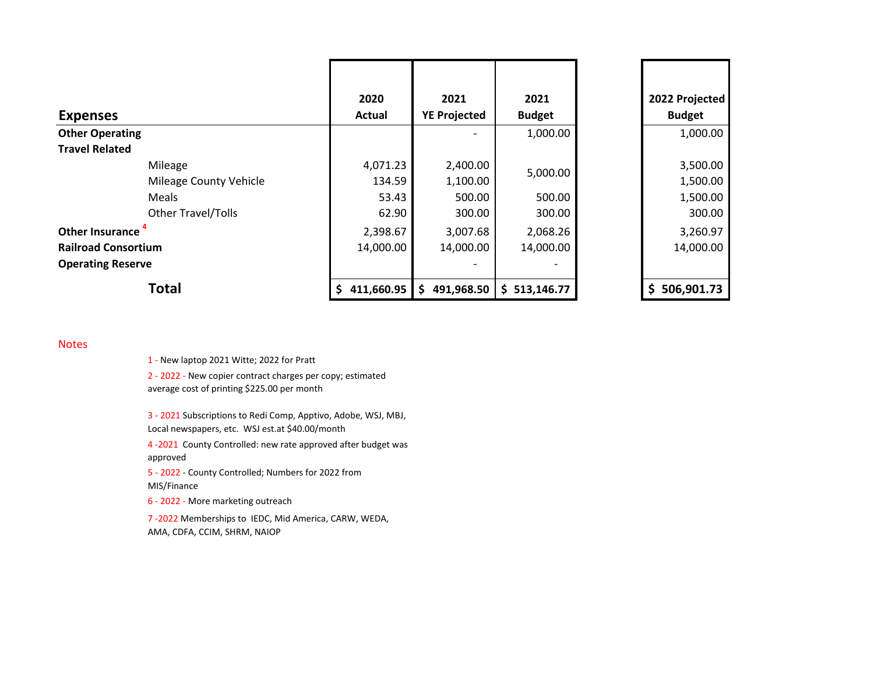|                               | 2020            | 2021                | 2021          | 2022 Projected |
|-------------------------------|-----------------|---------------------|---------------|----------------|
| <b>Expenses</b>               | Actual          | <b>YE Projected</b> | <b>Budget</b> | <b>Budget</b>  |
| <b>Other Operating</b>        |                 |                     | 1,000.00      | 1,000.00       |
| <b>Travel Related</b>         |                 |                     |               |                |
| Mileage                       | 4,071.23        | 2,400.00            | 5,000.00      | 3,500.00       |
| <b>Mileage County Vehicle</b> | 134.59          | 1,100.00            |               | 1,500.00       |
| <b>Meals</b>                  | 53.43           | 500.00              | 500.00        | 1,500.00       |
| <b>Other Travel/Tolls</b>     | 62.90           | 300.00              | 300.00        | 300.00         |
| Other Insurance <sup>4</sup>  | 2,398.67        | 3,007.68            | 2,068.26      | 3,260.97       |
| <b>Railroad Consortium</b>    | 14,000.00       | 14,000.00           | 14,000.00     | 14,000.00      |
| <b>Operating Reserve</b>      |                 |                     |               |                |
| <b>Total</b>                  | 411,660.95<br>Ś | 491,968.50<br>Ś     | \$513,146.77  | \$506,901.73   |

## Notes

1 - New laptop 2021 Witte; 2022 for Pratt

2 - 2022 - New copier contract charges per copy; estimated average cost of printing \$225.00 per month

3 - 2021 Subscriptions to Redi Comp, Apptivo, Adobe, WSJ, MBJ, Local newspapers, etc. WSJ est.at \$40.00/month

4 -2021 County Controlled: new rate approved after budget was approved

5 - 2022 - County Controlled; Numbers for 2022 from MIS/Finance

6 - 2022 - More marketing outreach

7 -2022 Memberships to IEDC, Mid America, CARW, WEDA, AMA, CDFA, CCIM, SHRM, NAIOP